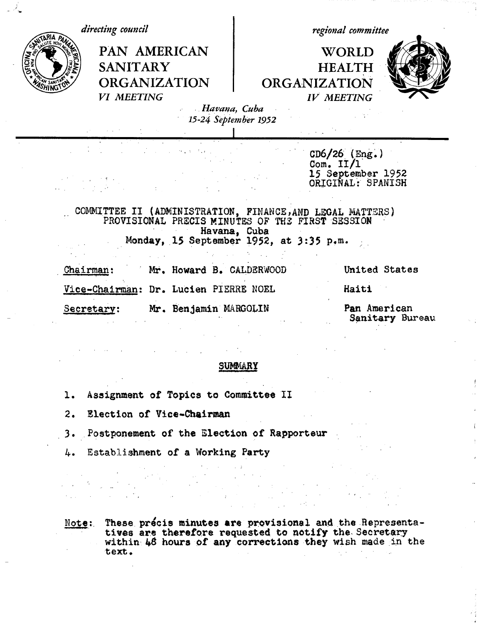*directing council* PAN AMERICAN **SANITARY** ORGANIZATION *VI MEETING regional committee* **WORLD** HEALTH ORGANIZATION *IV MEETING*

 $\sim$ 



*. Havana, Cuba 15-24 September 1952*

> CD6/26 (Eng.) Com.  $II/I$ 15 September 1952 ORIGINAL: SPANISH

COMMITTEE II (ADMINISTRATION, FINANCE,AND LEGAL MATTERS) PROVISIONAL PRECIS MINUTES OF THS FIRST SESSION Havana, Cuba Monday, 15 September 1952, at *3:35* p.m.

 $\mathcal{L}^{\text{max}}_{\text{max}}$  , where  $\mathcal{L}^{\text{max}}_{\text{max}}$ 

| Chairman:                           |  | Mr. Howard B. CALDERWOOD              | United States |
|-------------------------------------|--|---------------------------------------|---------------|
|                                     |  | Vice-Chairman: Dr. Lucien PIERRE NOEL | Haiti         |
| Mr. Benjamin MARGOLIN<br>Secretary: |  | Pan American<br>Sanitary Bureau       |               |

#### SUMMARY

- 1. Assignment of Topics **to Committee** II
- 2. Election of Vice-Chairman
- 3. Postponement of the Election of Rapporteur
- 4. Establishment of a Working Party

Note:. These precis minutes **are** provisional and the Representa**tives** are therefore requested to notify the Secretary within 48 hours **of any corrections** they wish made in the text.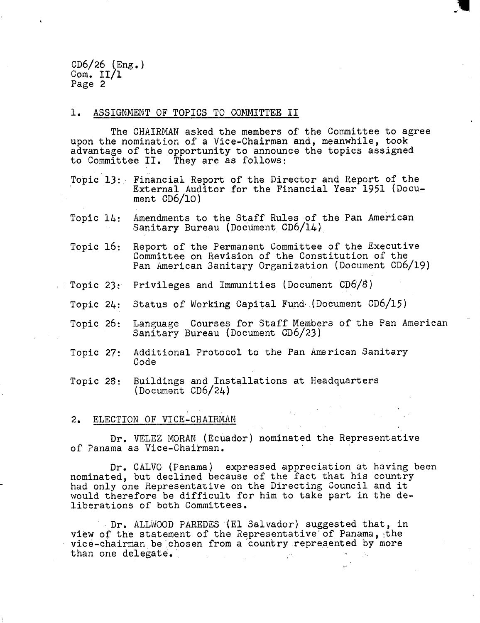$CD6/26$  (Eng.) Com. II/1 Page 2

#### 1. ASSIGNMENT OF TOPICS TO COMMITTEE II

The CHAIRMAN asked the members of the Committee to agree upon the nomination of a Vice-Chairman and, meanwhile, took advantage of the opportunity to announce the topics assigned to Committee II. They are as follows:

i<br>I

Topic 13: Financial Report of the Director and Report of the External Auditor for the Financial Year 1951 (Document CD6/10)

- Topic 14: Amendments to the Staff Rules of the Pan American Sanitary Bureau (Document CD6/14)
- Topic 16: Report of the Permanent Committee of the Executive Committee on Revision of the Constitution of the Pan American 3anitary Organization (Document CD6/19)
- Topic 23.: Privileges and Immunities (Document CD6/8)
- Topic 24: Status of Working Capital Fund .(Document CD6/15)
- Topic 26: Language Courses for Staff Members of the Pan American Sanitary Bureau (Document CD6/23)
- Topic 27: Additional Protocol to the Pan American Sanitary Code
- Topic 28: Buildings and Installations at Headquarters (Document CD6/24)

#### 2. ELECTION OF VICE-CHAIRMAN

Dr. VELEZ MORAN (Ecuador) nominated the Representative of Panama as Vice-Chairman.

Dr. CALVO (Panama) expressed appreciation at having been nominated, but declined because of the fact that his country had only one Representative on the Directing Council and it would therefore be difficult for him to take part in the deliberations of both Committees.

Dr. ALLWOOD PAREDES (El Salvador) suggested that, in view of the statement of the Representative of Panama, the vice-chairman be chosen from a country represented by more than one delegate.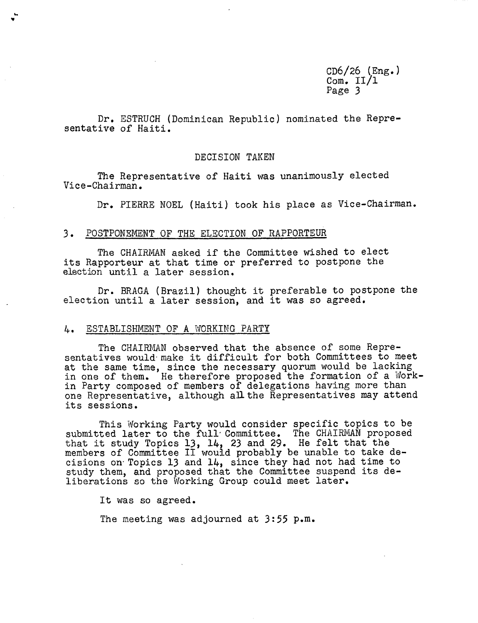CD6/26 (Eng.) Com.  $II/1$ Page 3

Dr. ESTRUCH (Dominican Republic) nominated the Representative of Haiti.

#### DECISION TAKEN

The Representative of Haiti was unanimously elected Vice-Chairman.

Dr. PIERRE NOEL (Haiti) took his place as Vice-Chairman.

#### 3. POSTPONEMENT OF THE ELECTION OF RAPPORTEUR

The CHAIRMAN asked if the Committee wished to elect its Rapporteur at that time or preferred to postpone the election until a later session.

Dr. BRAGA (Brazil) thought it preferable to postpone the election until a later session, and it was so agreed.

#### 4. ESTABLISHMENT OF A WORKING PARTY

The CHAIRMAN observed that the absence of some Representatives would make it difficult for both Committees to meet at the same time, since the necessary quorum would be lacking in one of them. He therefore proposed the formation of a Workin Party composed of members of delegations having more than one Representative, although all the Representatives may attend its sessions.

This Working Party would consider specific topics to be submitted later to the full Committee. The CHAIRMAN proposed that it study Topics 13, 14, 23 and 29. He felt that the members of Committee II would probably be unable to take decisions on Topics 13 and 14, since they had not had time to study them, and proposed that the Committee suspend its deliberations so the Working Group could meet later.

It was so agreed.

The meeting was adjourned at 3:55 p.m.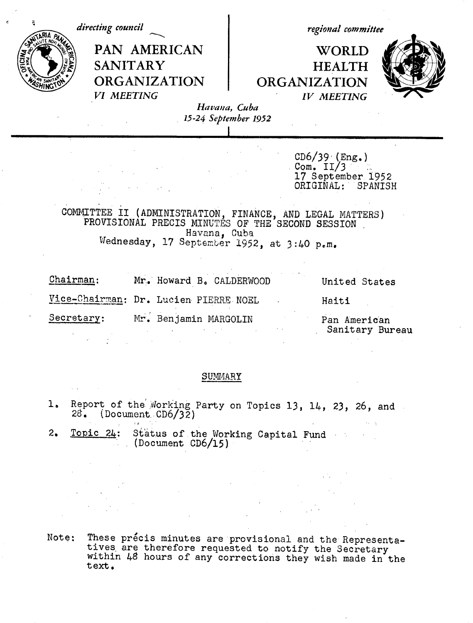| directing council |                               | regional committee                                                                                         |                                      |                     |                                                                          |  |
|-------------------|-------------------------------|------------------------------------------------------------------------------------------------------------|--------------------------------------|---------------------|--------------------------------------------------------------------------|--|
| FICINA            | <b>SANITARY</b><br>VI MEETING | PAN AMERICAN<br><b>ORGANIZATION</b>                                                                        | Havana, Cuba<br>15-24 September 1952 | <b>ORGANIZATION</b> | WORLD<br><b>HEALTH</b><br><b>IV MEETING</b>                              |  |
|                   |                               | COMMITTEE II (ADMINISTRATION, FINANCE, AND LEGAL MATTERS) PROVISIONAL PRECIS MINUTES OF THE SECOND SESSION | Havana, Cuba                         |                     | $CD6/39$ (Eng.)<br>Com. $II/3$<br>17 September 1952<br>ORIGINAL: SPANISH |  |
|                   |                               | Wednesday, 17 September 1952, at 3:40 p.m.                                                                 |                                      |                     |                                                                          |  |
| <u>Chairman:</u>  |                               | Mr. Howard B. CALDERWOOD                                                                                   |                                      |                     | United States                                                            |  |
|                   |                               | Vice-Chairman: Dr. Lucien PIERRE NOEL                                                                      |                                      |                     | Haiti                                                                    |  |
| Secretary:        |                               | Mr. Benjamin MARGOLIN                                                                                      |                                      |                     | Pan American<br>Sanitary Bureau                                          |  |

 $\epsilon$ 

SUMMARY

- 1. Report of the Working Party on Topics 13, 14, 23, 26, and<br>28. (Document CD6/32)
- 2. Topic 24: Status of the Working Capital Fund (Document CD6/15)

Note: These précis minutes are provisional and the Representa-<br>tives are therefore requested to notify the Secretary<br>within 48 hours of any corrections they wish made in the text.

 $\label{eq:2} \frac{1}{2} \int_{0}^{2\pi} \frac{1}{\sqrt{2}} \, \mathrm{d} \mu \, \mathrm{d} \mu \, \mathrm{d} \mu \, \mathrm{d} \mu \, \mathrm{d} \mu \, \mathrm{d} \mu \, \mathrm{d} \mu \, \mathrm{d} \mu \, \mathrm{d} \mu \, \mathrm{d} \mu \, \mathrm{d} \mu \, \mathrm{d} \mu \, \mathrm{d} \mu \, \mathrm{d} \mu \, \mathrm{d} \mu \, \mathrm{d} \mu \, \mathrm{d} \mu \, \mathrm{d} \mu \, \mathrm{d} \mu \, \mathrm{d} \mu \, \mathrm{d$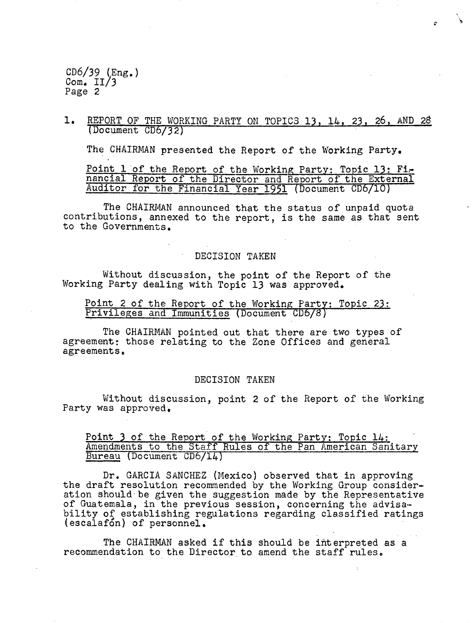1. REPORT OF THE WORKING PARTY ON TOPICS 13, 14, 23, 26, AND 28 (Document CD6/32)

The CHAIRMAN presented the Report of the Working Party.

Point 1 of the Report of the Working Party: Topic 13: Financial Report of the Director and Report of the External Auditor for the Financial Year 1951 (Document CD6/1O)

The CHAIRMAN announced that the status of unpaid quota contributions, annexed to the report, is the same as that sent to the Governments.

#### DECISION TAKEN

Without discussion, the point of the Report of the Working Party dealing with Topic 13 was approved.

Point 2 of the Report of the Working Party: Topic 23: Privileges and Immunities (Document CD6/8)

The CHAIRMAN pointed out that there are two types of agreement: those relating to the Zone Offices and general agreements,

#### DECISION TAKEN

Without discussion, point 2 of the Report of the Working Party was approved,

#### Point 3 of the Report of the Working Party: Topic 14: Amendments to the Staff Rules of the Pan American Sanitary Bureau (Document CD6/14)

Dr. GARCIA SANCHEZ (Mexico) observed that in approving the draft resolution recommended by the Working Group consideration should be given the suggestion made by the Representative of Guatemala, in the previous session, concerning the advisability of establishing regulations regarding classified ratings (escalafon) of personnel.

The CHAIRMAN asked if this should be interpreted as a recommendation to the Director to amend the staff rules,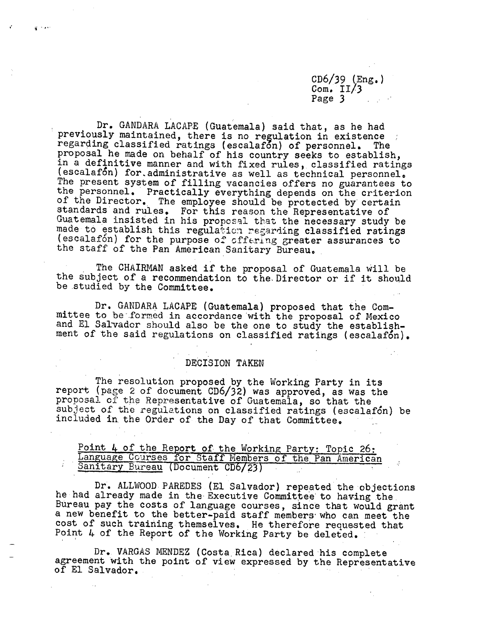Dr. GANDARA LACAPE (Guatemala) said that, as he had previously maintained, there is no regulation in existence regarding classified ratings (escalafon) of personnel. The proposal he made on behalf of his country seeks to establish,<br>in a definitive manner and with fixed rules, classified ratings<br>(escalafon) for administrative as well as technical personnel.<br>The present system of filling vac The present system of filling vacancies offers no guarantees to the personnel. Practically everything depends on the criterion of the Director. The employee should be protected by certain standards and rules. For this reason the Representative of Guatemala insisted in his proposal that the necessary study be made to establish this regulation regarding classified ratings (escalafon) for the purpose of offering greater assurances to the staff of the Pan American Sanitary Bureau.

 $\mathbf{z}^{(1)}$ 

÷

The CHAIRMAN asked if the proposal of Guatemala will be the subject of a recommendation to the Director or if it should be studied by the Committee.

Dr. GANDARA LACAPE (Guatemala) proposed that the Committee to be formed in accordance with the proposal of Mexico and El Salvador should also be the one to study the establishment of the said regulations on classified ratings (escalafon).

# DECISION TAKEN

The resolution proposed by the Working Party in its report (page 2 of document CD6/32) was approved, as was the proposal of the Representative of Guatemala, so that the subject of the regulations on classified ratings (escalafon) be included in the Order of the Day of that Committee,

Point 4 of the Report of the Working Party: Topic 26: Language Courses for Staff Members of the Pan American Sanitary Bureau (Document CD6/23)

Dr. ALLWOOD PAREDES (El Salvador) repeated the objections he had already made in the Executive Committee to having the Bureau pay the costs of language courses, since that would grant a new benefit to the better-paid staff members who can meet the cost of such training themselves. He therefore requested that Point 4 of the Report of the Working Party be deleted.

Dr. VARGAS MENDEZ (Costa Rica) declared his complete agreement with the point of view expressed by the Representative of El Salvador.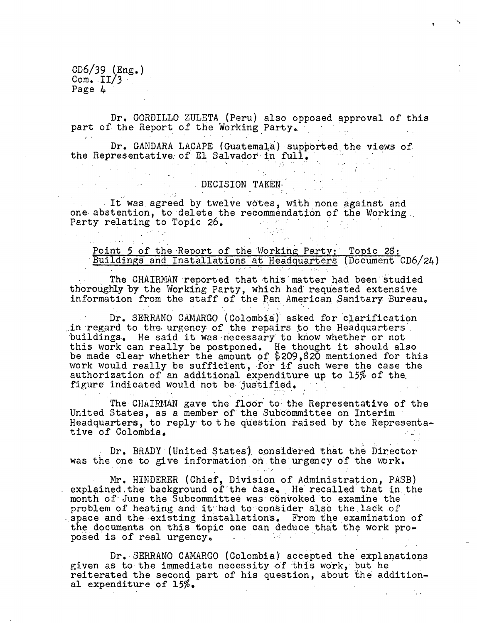Dr. GORDILLO ZULETA (Peru) also opposed approval of this part of the Report of the Working Party.

Dr. GANDARA LACAPE (Guatemala) supported the views of the Representative of El Salvador in full.

# DECISION TAKEN '

 $\sim 10^{11}$ 

It was agreed by twelve votes, with none against and one abstention, to delete the recommendation of the Working. Party relating to Topic 26.  $\mathcal{L}(\mathcal{L})$  and  $\mathcal{L}(\mathcal{L})$  and  $\mathcal{L}(\mathcal{L})$ 

Point 5 of the Report of the Working Party: Topic 28: Buildings and Installations at Headquarters (Document CD6/24)

The CHAIRMAN reported that this matter had been studied thoroughly by the Working Party, which had requested extensive information from the staff of the Pan American Sanitary Bureau.

Dr. SERRANO CAMARGO (Colombia) asked for clarification .in regard to the urgency of the repairs to the Headquarters 'buildings.. He said it was·necessary'to know whether or not this work can really be postponed. He thought it should also be made clear whether the amount of  $\${\,209\,},820$  mentioned for this work would really be sufficient, for if such were the case the authorization of an additional expenditure up to 15% of the. figure indicated would'not be justified.

The CHAIRMAN gave the floor to the Representative of the United States, as a member of the Subcommittee on Interim Headquarters, to reply to the question raised by the Representative of Colombia,.

Dr. BRADY (United States) considered that the Director was the one to give information on.the urgency of the work.

Mr. HINDERER (Chief, Division of Administration, PASB) explained the background of the case. He recalled that in the month of June the Subcommittee was convoked to examine the problem of heating and it had to consider also the lack of -space and the existing installations. From the examination of the documents on this topic one can deduce that the work proposed is of real urgency. 

Dr. SERRANO CAMARGO (Colombia} accepted the explanations given as to the immediate necessity of this work, but he reiterated the second part of his question, about 'the additional expenditure of 15%.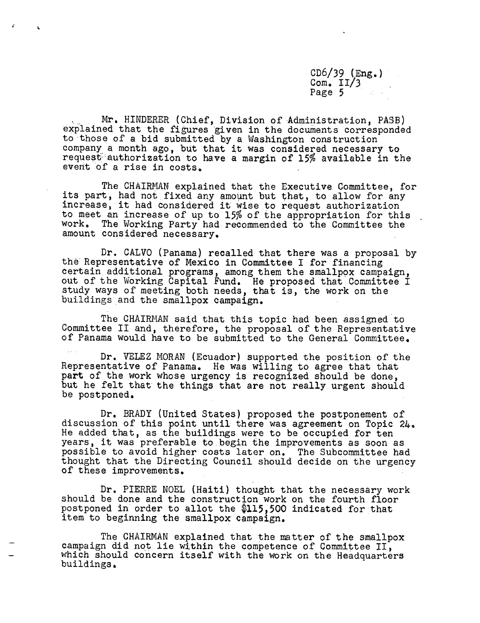Mr. HINDERER (Chief, Division of-Administration, PASB) explained that the figures given in the documents corresponded to those of a bid submitted by a Washington construction company a month ago, but that it was considered necessary to request authorization to have a margin of 15% available in the event of a rise in costs,

The CHAIRMAN explained that the Executive Committee, for its part, had not fixed any amount but that, to allow for any increase, it had considered it wise to request authorization to meet an increase of up to 15% of the appropriation for this The Working Party had recommended to the Committee the amount considered necessary.

Dr. CALVO (Panama) recalled that there was a proposal by the Representative of Mexico in Committee I for financing certain additional programs, among them the smallpox campaign, out of the Working Capital Fund. He proposed that Committee I study ways of meeting both needs, that is, the work on the buildings and the smallpox campaign.

The CHAIRMAN said that this topic had been assigned to Committee II and, therefore, the proposal of the Representative of Panama would have to be submitted to the General Committee.

Dr. VELEZ MORAN (Ecuador) supported the position of the Representative of Panama. He was willing to agree that that part of the work whose urgency is recognized should be done, but he felt that the things that are not really urgent should be postponed.

Dr. BRADY (United States) proposed the postponement of discussion of this point until there was agreement on Topic 24, He added that, as the buildings were to be occupied for ten years, it was preferable to begin the improvements as soon as possible to avoid higher costs later on. The Subcommittee had thought that the Directing Council should decide on the urgency of these improvements.

Dr. PIERRE NOEL (Haiti) thought that the necessary work should be done and the construction work on the fourth floor postponed in'order to allot the \$115,500 indicated for that item to beginning the smallpox campaign.

The CHAIRMAN explained that the matter of the smallpox campaign did not lie within the competence of Committee II, which should concern itself with the work on the Headquarters buildings.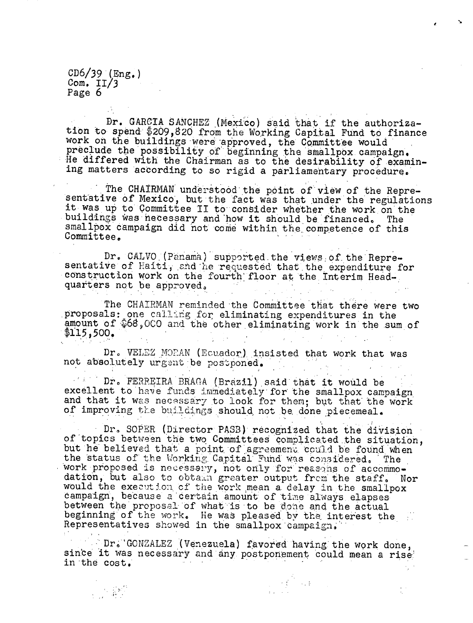$\label{eq:2} \sum_{\substack{ \mathbf{y} \in \mathcal{M}^{\mathcal{M}^{\mathcal{M}}}_{\mathcal{M}^{\mathcal{M}}_{\mathcal{M}^{\mathcal{M}}_{\mathcal{M}}_{\mathcal{M}}}}}\text{supp}(\mathbf{y})$ 

Dr. GARCIA SANCHEZ (Mexico) said that if the authorization to spend \$209,820 from the Working Capital Fund to finance work on the buildings were approved, the Committee would preclude the possibility of' beginning the smallpox campaign, He differed with the Chairman as to the desirability of examining matters according to so rigid a parliamentary procedure.

The CHAIRMAN understood the point of view of the Repre-<br>sentative of Mexico, but the fact was that under the regulations<br>it was up to Committee II to consider whether the work on the buildings was necessary and how it should be financed. The smallpox campaign did not come within the competence of this Committee.

Dr. CALVO (Panama) supported the views of the Repre-<br>sentative of Haiti, and he requested that the expenditure for construction work on the fourth' floor at the Interim Headquarters not be approved.

The CHATRMAN reminded the Committee that there were two proposals: one calling for eliminating expenditures in the amount of \$68,000 and the other eliminating work in the sum of  $$115,500.$ 

Dr. VELEZ MOPAN (Ecuador) insisted that work that was not absolutely urgent be postponed.  $\frac{1}{2} \left( \frac{1}{2} \right)$  ,  $\frac{1}{2} \left( \frac{1}{2} \right)$ 

Dr. FERREIRA BRAGA (Brazil) said that it would be excellent to have funds immediately for the smallpox campaign excellent to have funds immediately for the smallpox campaign<br>and that it was necessary to look for them; but that the work of improving the buildings should not be done piecemeal.

Dr. SOPER (Director PASB) recognized that the division of topics between the two Committees complicated the situation, but he believed that a point of agreement could be found when the status of the Working Capital Fund was considered. The work proposed is necessary, not only for reasons of accommodation, but also to obtain greater output from the staff. Nor would the execution of the work mean a delay in the smallpox would the execution of the work mean a delay in the smallpox campaign, because a certain amount of time always elapses between the proposal of what is to be done and the actual beginning of the work. He was pleased by the interest the Representatives showed in the smallpox campaign.

Dr. GONZALEZ (Venezuela) favored having the work done, since it was necessary and any postponement could mean a rise' in the cost,

 $\mathcal{F}(\mathcal{E}) = \{ \mathcal{E}(\mathcal{E}) \mid \mathcal{E} \}$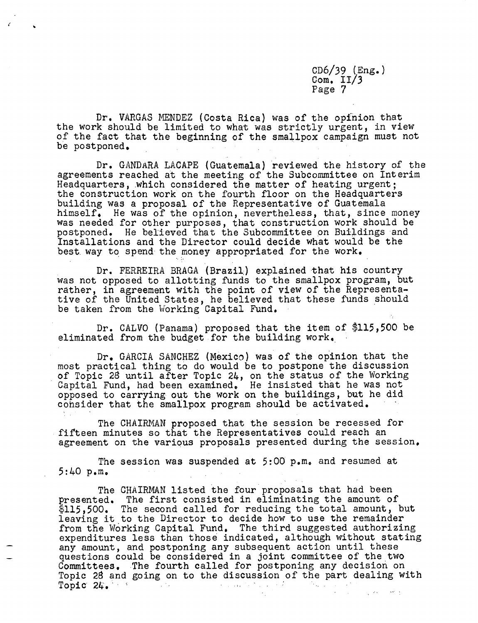Dr. VARGAS MENDEZ (Costa Rica) was of the opinion that the work should be limited to what was strictly urgent, in view of the fact that the beginning of the smallpox campaign must not be postponed.

Dr. GANDARA LACAPE (Guatemala) reviewed the history of the agreements reached at the meeting of the Subcommittee on Interim Headquarters, which considered the matter of heating urgent; the construction work on the fourth floor on the Headquarters building was a proposal of the Representative of Guatemala himself, He was of the opinion, nevertheless, that, since money was needed for other purposes, that construction work should be postponed. He believed that the Subcommittee on Buildings and Installations and the Director could decide what would be the best way to spend the money appropriated for the work.

Dr. FERREIRA BRAGA (Brazil) explained that his country was not opposed to allotting funds to the smallpox program, but rather, in agreement with the point of view of the Representative of the United States, he believed that these funds should be taken from the Working Capital Fund,

Dr. CALVO (Panama) proposed that the item of \$115,500 be eliminated from the budget for the building work,

Dr. GARCIA SANCHEZ (Mexico) was of the opinion that the most practical thing to do would be to postpone the discussion of Topic 28 until after Topic 24, on the status of the Working Capital Fund, had been examined, He insisted that he was not opposed to carrying out the work on the buildings, but he did consider that the smallpox program should be activated.

The CHAIRMAN proposed that the session be recessed for fifteen minutes so that the Representatives could reach an agreement on the various proposals presented during the session,

The session was suspended at 5:00 p.m. and resumed at 5:40 p.m.

The CHAIRMAN listed the four proposals that had been presented. The first consisted in eliminating the amount of  $$115,500$ . The second called for reducing the total amount, but leaving it to the Director to decide how to use the remainder from the Working Capital Fund. The third suggested authorizing expenditures less than those indicated, although without stating any amount, and postponing any subsequent action until these questions could be considered in a joint committee of the two Committees. The fourth called for postponing any decision on Topic 28 and going on to the discussion of the part dealing with Topic 2L. Topic 24.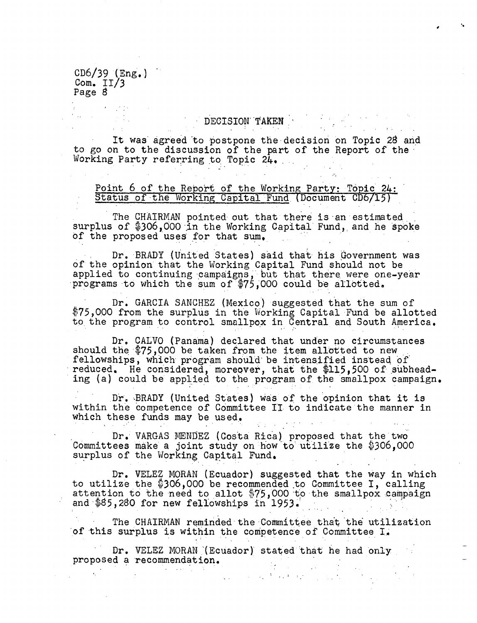$\mathcal{L} = \{ \mathcal{L} \}_{\mathcal{L} \in \mathcal{L}}$ 

# DECISION TAKEN

It was' agreed'to postpone the decision on Topic 28 and to go on to the discussion of the part of the Report of the Working Party referring to Topic 24.

### Point 6 of the Report of the Working Party: Topic 24: Status of the Working Capital Fund (Document CD6/15)

The CHAIRMAN pointed out that there is an estimated surplus of \$306,000 in the Working Capital Fund, and he spoke of the proposed uses for that sum,

Dr. BRADY (United States) said that his Government was of the opinion that the Working Capital Fund should not be applied to continuing campaigns,'but that there were one-year programs to which the sum of \$75,000 could be allotted.

Dr. GARCIA SANCHEZ (Mexico) suggested that the sum of \$75,000 from the surplus in the Working Capital Fund be allotted to the program to control smallpox in Central and South America.

Dr. CALVO (Panama) declared that under no circumstances should the \$75,000 be taken from the item allotted to new fellowships, which program should be intensified instead of reduced. He considered, moreover, that the \$115,500 of subheading (a) could be applied to the program of the smallpox campaign.

Dr. BRADY (United States) was of the opinion that it is within the competence of Committee II to indicate the manner in which these funds may be used.

Dr.' VARGAS MENDEZ (Costa Rica) proposed that the'two Committees make a joint study on how'to' utilize the \$306,000 surplus of the Working Capital Fund.

Dr. VELEZ MORAN (Ecuador) suggested that the way in which to utilize the  $$306,000$  be recommended to Committee I, calling attention to the need to allot \$75,000 to the smallpox campaign and \$85,280 for new fellowships in 1953.

The CHAIRMAN reminded the Committee that'the utilization of this surplus is within the competence of Committee I.

Dr. VELEZ MORAN (Ecuador) stated that he had only proposed a recommendation.a sa mga kalawang ng Kabupatèn Sila.<br>Pangangangang manang

 $\frac{1}{2}$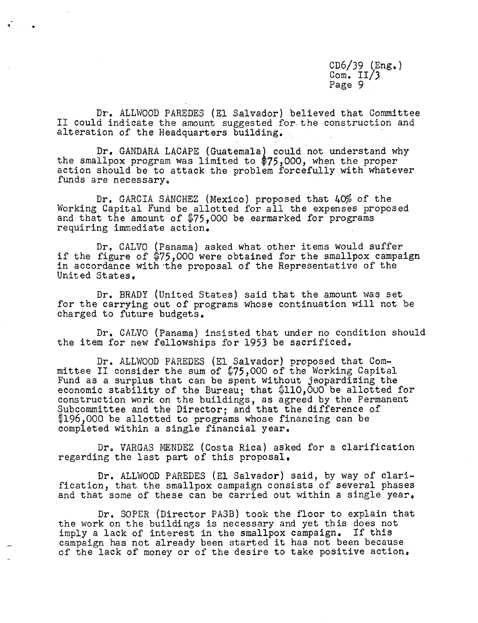Dr. ALLWOOD PAREDES (El Salvador) believed that Committee II could indicate the amount suggested for the construction and alteration of the Headquarters building,

Dr. GANDARA LACAPE (Guatemala) could not understand why the smallpox program was limited to \$75,000, when the proper action should be to attack the problem forcefully with whatever funds are necessary.

Dr. GARCIA SANCHEZ (Mexico) proposed that 40% of the Working Capital Fund be allotted for all the expenses proposed and that the amount of \$75,000 be earmarked for programs requiring immediate action.

Dr. CALVO (Panama) asked what other items would suffer if the figure of  $$75,000$  were obtained for the smallpox campaign in accordance with the proposal of the Representative of the United States,

Dr. BRADY (United States) said that the amount was set for the carrying out of programs whose continuation will not be charged to future budgets.

Dr. CALVO (Panama) insisted that under no condition should the item for new fellowships for 1953 be sacrificed.

Dr. ALLWOOD PAREDES (El Salvador) proposed that Committee II consider the sum of \$75,000 of the Working Capital Fund as a surplus that can be spent without jeopardizing the economic stability of the Bureau; that \$110,000 be allotted for construction work on the buildings, as agreed by the Permanent Subcommittee and the Director; and that the difference of \$196,000 be allotted to programs whose financing can be completed within a single financial year.

Dr, VARGAS MENDEZ (Costa Rica) asked for a clarification regarding the last part of this proposal.

Dr. ALLWOOD PAREDES (El Salvador) said, by way of clarification, that the smallpox campaign consists of several phases and that some of these can be carried out within a single year.

Dr. SOPER (Director PASB) took the floor to explain that the work on the buildings is necessary and yet this does not imply a lack of interest in the smallpox campaign. If this campaign has not already been started it has not been because of the lack of money or of the desire to take positive action.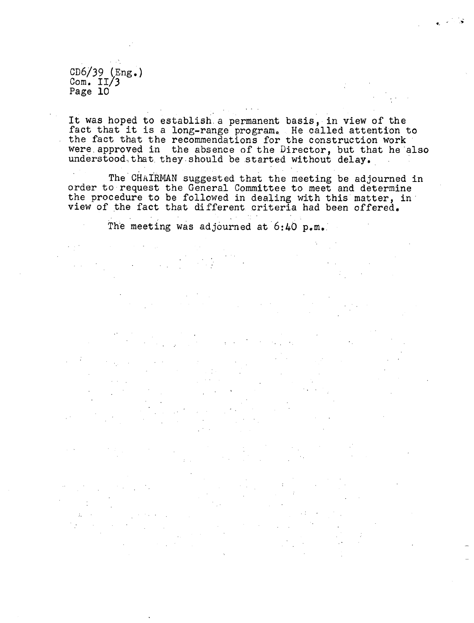It was hoped to establish.a permanent basis, in view of the fact that it is a long-range program. He called attention to the fact that the recommendations for the construction work were approved in the absence of the Director, but that he also understood that they should be started without delay.

The CHAIRMAN suggested that the meeting be adjourned in order to request the General Committee to meet and determine the procedure to be followed in dealing with this matter, in view of the fact that different criteria had been offered.

The meeting was adjourned at  $6:40$  p.m.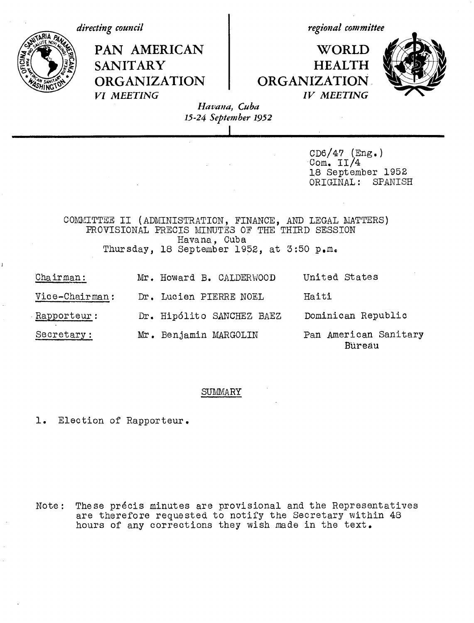

Bureau

#### SUMMARY

1. Election of Rapporteur.

Note: These pr6cis minutes are provisional and the Representatives are therefore requested to notify the Secretary within 48 hours of any corrections they wish made in the text.